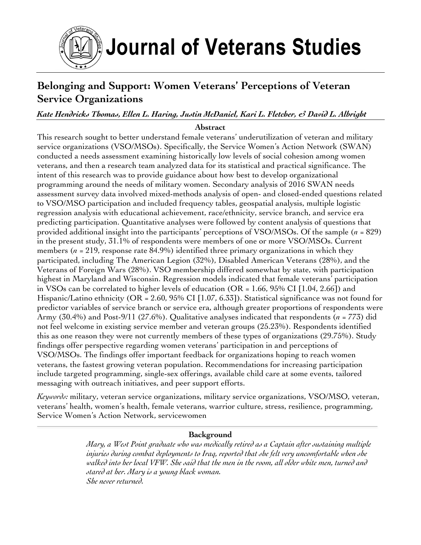

# **Belonging and Support: Women Veterans' Perceptions of Veteran Service Organizations**

# *Kate Hendricks Thomas, Ellen L. Haring, Justin McDaniel, Kari L. Fletcher, & David L. Albright*

# **Abstract**

This research sought to better understand female veterans' underutilization of veteran and military service organizations (VSO/MSOs). Specifically, the Service Women's Action Network (SWAN) conducted a needs assessment examining historically low levels of social cohesion among women veterans, and then a research team analyzed data for its statistical and practical significance. The intent of this research was to provide guidance about how best to develop organizational programming around the needs of military women. Secondary analysis of 2016 SWAN needs assessment survey data involved mixed-methods analysis of open- and closed-ended questions related to VSO/MSO participation and included frequency tables, geospatial analysis, multiple logistic regression analysis with educational achievement, race/ethnicity, service branch, and service era predicting participation. Quantitative analyses were followed by content analysis of questions that provided additional insight into the participants' perceptions of VSO/MSOs. Of the sample (*n* = 829) in the present study, 31.1% of respondents were members of one or more VSO/MSOs. Current members (*n* = 219, response rate 84.9%) identified three primary organizations in which they participated, including The American Legion (32%), Disabled American Veterans (28%), and the Veterans of Foreign Wars (28%). VSO membership differed somewhat by state, with participation highest in Maryland and Wisconsin. Regression models indicated that female veterans' participation in VSOs can be correlated to higher levels of education (OR = 1.66, 95% CI [1.04, 2.66]) and Hispanic/Latino ethnicity (OR = 2.60, 95% CI [1.07, 6.33]). Statistical significance was not found for predictor variables of service branch or service era, although greater proportions of respondents were Army (30.4%) and Post-9/11 (27.6%). Qualitative analyses indicated that respondents (*n* = 773) did not feel welcome in existing service member and veteran groups (25.23%). Respondents identified this as one reason they were not currently members of these types of organizations (29.75%). Study findings offer perspective regarding women veterans' participation in and perceptions of VSO/MSOs. The findings offer important feedback for organizations hoping to reach women veterans, the fastest growing veteran population. Recommendations for increasing participation include targeted programming, single-sex offerings, available child care at some events, tailored messaging with outreach initiatives, and peer support efforts.

*Keywords:* military, veteran service organizations, military service organizations, VSO/MSO, veteran, veterans' health, women's health, female veterans, warrior culture, stress, resilience, programming, Service Women's Action Network, servicewomen

# **Background**

*Mary, a West Point graduate who was medically retired as a Captain after sustaining multiple injuries during combat deployments to Iraq, reported that she felt very uncomfortable when she walked into her local VFW. She said that the men in the room, all older white men, turned and stared at her. Mary is a young black woman. She never returned.*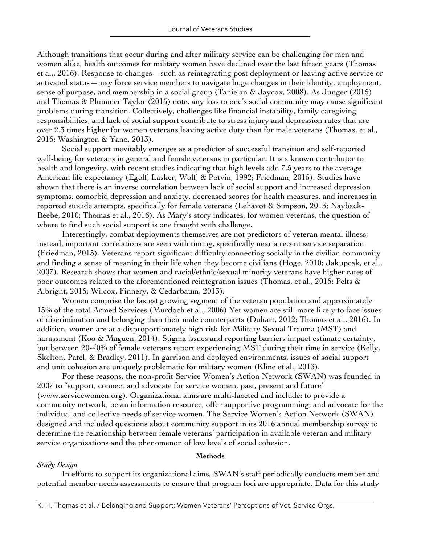Although transitions that occur during and after military service can be challenging for men and women alike, health outcomes for military women have declined over the last fifteen years (Thomas et al., 2016). Response to changes—such as reintegrating post deployment or leaving active service or activated status—may force service members to navigate huge changes in their identity, employment, sense of purpose, and membership in a social group (Tanielan & Jaycox, 2008). As Junger (2015) and Thomas & Plummer Taylor (2015) note, any loss to one's social community may cause significant problems during transition. Collectively, challenges like financial instability, family caregiving responsibilities, and lack of social support contribute to stress injury and depression rates that are over 2.3 times higher for women veterans leaving active duty than for male veterans (Thomas, et al., 2015; Washington & Yano, 2013).

Social support inevitably emerges as a predictor of successful transition and self-reported well-being for veterans in general and female veterans in particular. It is a known contributor to health and longevity, with recent studies indicating that high levels add 7.5 years to the average American life expectancy (Egolf, Lasker, Wolf, & Potvin, 1992; Friedman, 2015). Studies have shown that there is an inverse correlation between lack of social support and increased depression symptoms, comorbid depression and anxiety, decreased scores for health measures, and increases in reported suicide attempts, specifically for female veterans (Lehavot & Simpson, 2013; Nayback-Beebe, 2010; Thomas et al., 2015). As Mary's story indicates, for women veterans, the question of where to find such social support is one fraught with challenge.

Interestingly, combat deployments themselves are not predictors of veteran mental illness; instead, important correlations are seen with timing, specifically near a recent service separation (Friedman, 2015). Veterans report significant difficulty connecting socially in the civilian community and finding a sense of meaning in their life when they become civilians (Hoge, 2010; Jakupcak, et al., 2007). Research shows that women and racial/ethnic/sexual minority veterans have higher rates of poor outcomes related to the aforementioned reintegration issues (Thomas, et al., 2015; Pelts & Albright, 2015; Wilcox, Finnery, & Cedarbaum, 2013).

Women comprise the fastest growing segment of the veteran population and approximately 15% of the total Armed Services (Murdoch et al., 2006) Yet women are still more likely to face issues of discrimination and belonging than their male counterparts (Duhart, 2012; Thomas et al., 2016). In addition, women are at a disproportionately high risk for Military Sexual Trauma (MST) and harassment (Koo & Maguen, 2014). Stigma issues and reporting barriers impact estimate certainty, but between 20-40% of female veterans report experiencing MST during their time in service (Kelly, Skelton, Patel, & Bradley, 2011). In garrison and deployed environments, issues of social support and unit cohesion are uniquely problematic for military women (Kline et al., 2013).

For these reasons, the non-profit Service Women's Action Network (SWAN) was founded in 2007 to "support, connect and advocate for service women, past, present and future" (www.servicewomen.org). Organizational aims are multi-faceted and include: to provide a community network, be an information resource, offer supportive programming, and advocate for the individual and collective needs of service women. The Service Women's Action Network (SWAN) designed and included questions about community support in its 2016 annual membership survey to determine the relationship between female veterans' participation in available veteran and military service organizations and the phenomenon of low levels of social cohesion.

# **Methods**

# *Study Design*

In efforts to support its organizational aims, SWAN's staff periodically conducts member and potential member needs assessments to ensure that program foci are appropriate. Data for this study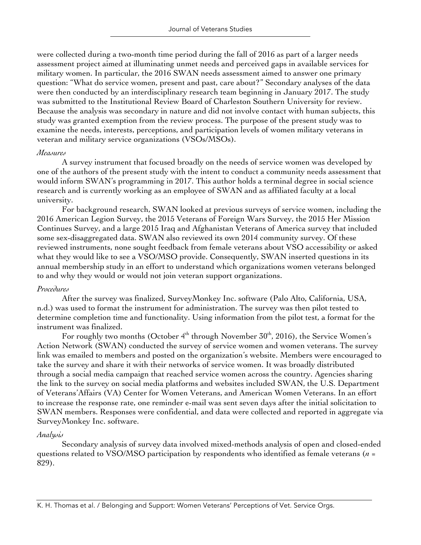were collected during a two-month time period during the fall of 2016 as part of a larger needs assessment project aimed at illuminating unmet needs and perceived gaps in available services for military women. In particular, the 2016 SWAN needs assessment aimed to answer one primary question: "What do service women, present and past, care about?" Secondary analyses of the data were then conducted by an interdisciplinary research team beginning in January 2017. The study was submitted to the Institutional Review Board of Charleston Southern University for review. Because the analysis was secondary in nature and did not involve contact with human subjects, this study was granted exemption from the review process. The purpose of the present study was to examine the needs, interests, perceptions, and participation levels of women military veterans in veteran and military service organizations (VSOs/MSOs).

# *Measures*

A survey instrument that focused broadly on the needs of service women was developed by one of the authors of the present study with the intent to conduct a community needs assessment that would inform SWAN's programming in 2017. This author holds a terminal degree in social science research and is currently working as an employee of SWAN and as affiliated faculty at a local university.

For background research, SWAN looked at previous surveys of service women, including the 2016 American Legion Survey, the 2015 Veterans of Foreign Wars Survey, the 2015 Her Mission Continues Survey, and a large 2015 Iraq and Afghanistan Veterans of America survey that included some sex-disaggregated data. SWAN also reviewed its own 2014 community survey. Of these reviewed instruments, none sought feedback from female veterans about VSO accessibility or asked what they would like to see a VSO/MSO provide. Consequently, SWAN inserted questions in its annual membership study in an effort to understand which organizations women veterans belonged to and why they would or would not join veteran support organizations.

# *Procedures*

After the survey was finalized, SurveyMonkey Inc. software (Palo Alto, California, USA, n.d.) was used to format the instrument for administration. The survey was then pilot tested to determine completion time and functionality. Using information from the pilot test, a format for the instrument was finalized.

For roughly two months (October  $4<sup>th</sup>$  through November  $30<sup>th</sup>$ , 2016), the Service Women's Action Network (SWAN) conducted the survey of service women and women veterans. The survey link was emailed to members and posted on the organization's website. Members were encouraged to take the survey and share it with their networks of service women. It was broadly distributed through a social media campaign that reached service women across the country. Agencies sharing the link to the survey on social media platforms and websites included SWAN, the U.S. Department of Veterans'Affairs (VA) Center for Women Veterans, and American Women Veterans. In an effort to increase the response rate, one reminder e-mail was sent seven days after the initial solicitation to SWAN members. Responses were confidential, and data were collected and reported in aggregate via SurveyMonkey Inc. software.

# *Analysis*

Secondary analysis of survey data involved mixed-methods analysis of open and closed-ended questions related to VSO/MSO participation by respondents who identified as female veterans (*n* = 829).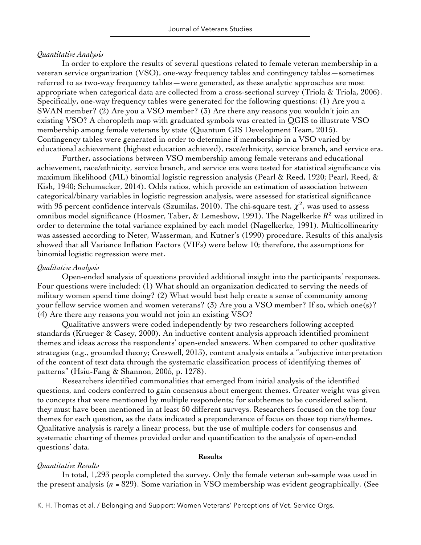# *Quantitative Analysis*

In order to explore the results of several questions related to female veteran membership in a veteran service organization (VSO), one-way frequency tables and contingency tables—sometimes referred to as two-way frequency tables—were generated, as these analytic approaches are most appropriate when categorical data are collected from a cross-sectional survey (Triola & Triola, 2006). Specifically, one-way frequency tables were generated for the following questions: (1) Are you a SWAN member? (2) Are you a VSO member? (3) Are there any reasons you wouldn't join an existing VSO? A choropleth map with graduated symbols was created in QGIS to illustrate VSO membership among female veterans by state (Quantum GIS Development Team, 2015). Contingency tables were generated in order to determine if membership in a VSO varied by educational achievement (highest education achieved), race/ethnicity, service branch, and service era.

Further, associations between VSO membership among female veterans and educational achievement, race/ethnicity, service branch, and service era were tested for statistical significance via maximum likelihood (ML) binomial logistic regression analysis (Pearl & Reed, 1920; Pearl, Reed, & Kish, 1940; Schumacker, 2014). Odds ratios, which provide an estimation of association between categorical/binary variables in logistic regression analysis, were assessed for statistical significance with 95 percent confidence intervals (Szumilas, 2010). The chi-square test,  $\chi^2$ , was used to assess omnibus model significance (Hosmer, Taber, & Lemeshow, 1991). The Nagelkerke  $R^2$  was utilized in order to determine the total variance explained by each model (Nagelkerke, 1991). Multicollinearity was assessed according to Neter, Wasserman, and Kutner's (1990) procedure. Results of this analysis showed that all Variance Inflation Factors (VIFs) were below 10; therefore, the assumptions for binomial logistic regression were met.

# *Qualitative Analysis*

Open-ended analysis of questions provided additional insight into the participants' responses. Four questions were included: (1) What should an organization dedicated to serving the needs of military women spend time doing? (2) What would best help create a sense of community among your fellow service women and women veterans? (3) Are you a VSO member? If so, which one(s)? (4) Are there any reasons you would not join an existing VSO?

Qualitative answers were coded independently by two researchers following accepted standards (Krueger & Casey, 2000). An inductive content analysis approach identified prominent themes and ideas across the respondents' open-ended answers. When compared to other qualitative strategies (e.g., grounded theory; Creswell, 2013), content analysis entails a "subjective interpretation of the content of text data through the systematic classification process of identifying themes of patterns" (Hsiu-Fang & Shannon, 2005, p. 1278).

Researchers identified commonalities that emerged from initial analysis of the identified questions, and coders conferred to gain consensus about emergent themes. Greater weight was given to concepts that were mentioned by multiple respondents; for subthemes to be considered salient, they must have been mentioned in at least 50 different surveys. Researchers focused on the top four themes for each question, as the data indicated a preponderance of focus on those top tiers/themes. Qualitative analysis is rarely a linear process, but the use of multiple coders for consensus and systematic charting of themes provided order and quantification to the analysis of open-ended questions' data.

#### **Results**

# *Quantitative Results*

In total, 1,293 people completed the survey. Only the female veteran sub-sample was used in the present analysis (*n* = 829). Some variation in VSO membership was evident geographically. (See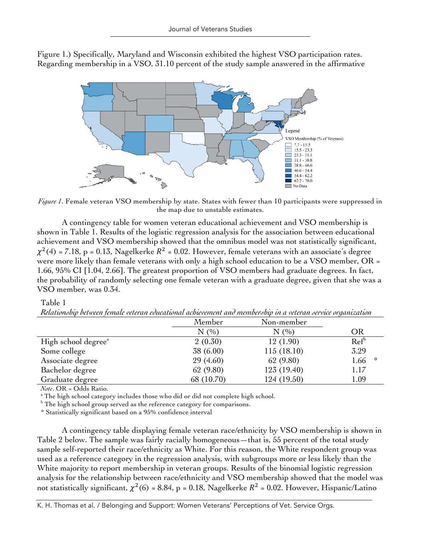

Figure 1.) Specifically, Maryland and Wisconsin exhibited the highest VSO participation rates. Regarding membership in a VSO, 31.10 percent of the study sample answered in the affirmative

*Figure 1*. Female veteran VSO membership by state. States with fewer than 10 participants were suppressed in the map due to unstable estimates.

A contingency table for women veteran educational achievement and VSO membership is shown in Table 1. Results of the logistic regression analysis for the association between educational achievement and VSO membership showed that the omnibus model was not statistically significant,  $\chi^2$ (4) = 7.18, p = 0.13, Nagelkerke  $R^2$  = 0.02. However, female veterans with an associate's degree were more likely than female veterans with only a high school education to be a VSO member, OR = 1.66, 95% CI [1.04, 2.66]. The greatest proportion of VSO members had graduate degrees. In fact, the probability of randomly selecting one female veteran with a graduate degree, given that she was a VSO member, was 0.34.

# Table 1

|                                 | Member     | Non-member  |                  |
|---------------------------------|------------|-------------|------------------|
|                                 | N(%)       | N(%)        | OR               |
| High school degree <sup>a</sup> | 2(0.30)    | 12(1.90)    | Ref <sup>b</sup> |
| Some college                    | 38 (6.00)  | 115(18.10)  | 3.29             |
| Associate degree                | 29(4.60)   | 62 (9.80)   | 1.66<br>-18      |
| Bachelor degree                 | 62 (9.80)  | 123(19.40)  | 1.17             |
| Graduate degree                 | 68 (10.70) | 124 (19.50) | 1.09             |

*Relationship between female veteran educational achievement and membership in a veteran service organization*

*Note*. OR = Odds Ratio.<br><sup>a</sup> The high school category includes those who did or did not complete high school.

 $b$  The high school group served as the reference category for comparisons.

\* Statistically significant based on a 95% confidence interval

A contingency table displaying female veteran race/ethnicity by VSO membership is shown in Table 2 below. The sample was fairly racially homogeneous—that is, 55 percent of the total study sample self-reported their race/ethnicity as White. For this reason, the White respondent group was used as a reference category in the regression analysis, with subgroups more or less likely than the White majority to report membership in veteran groups. Results of the binomial logistic regression analysis for the relationship between race/ethnicity and VSO membership showed that the model was not statistically significant,  $\chi^2(6) = 8.84$ , p = 0.18, Nagelkerke  $R^2 = 0.02$ . However, Hispanic/Latino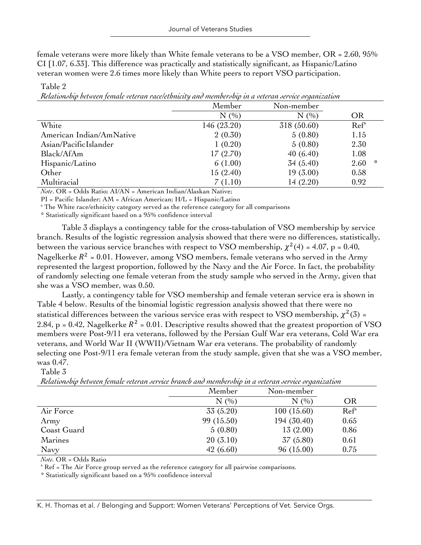female veterans were more likely than White female veterans to be a VSO member, OR = 2.60, 95% CI [1.07, 6.33]. This difference was practically and statistically significant, as Hispanic/Latino veteran women were 2.6 times more likely than White peers to report VSO participation.

Member Non-member  $N$  (%) OR White 146 (23.20) 318 (50.60) Ref<sup>a</sup> American Indian/AmNative 2 (0.30) 5 (0.80) 1.15 Asian/PacificIslander 1 (0.20) 5 (0.80) 2.30 Black/AfAm 17 (2.70) 40 (6.40) 1.08  $H$ ispanic/Latino 6 (1.00)  $\frac{34}{54}$  (5.40)  $\frac{34}{540}$  2.60  $\frac{4}{54}$ Other 15 (2.40) 19 (3.00) 0.58 Multiracial 7 (1.10) 14 (2.20) 0.92

*Relationship between female veteran race/ethnicity and membership in a veteran service organization*

*Note*. OR = Odds Ratio; AI/AN = American Indian/Alaskan Native;

PI = Pacific Islander; AM = African American; H/L = Hispanic/Latino

<sup>a</sup> The White race/ethnicity category served as the reference category for all comparisons

\* Statistically significant based on a 95% confidence interval

Table 3 displays a contingency table for the cross-tabulation of VSO membership by service branch. Results of the logistic regression analysis showed that there were no differences, statistically, between the various service branches with respect to VSO membership,  $\chi^2(4) = 4.07$ , p = 0.40, Nagelkerke  $R^2$  = 0.01. However, among VSO members, female veterans who served in the Army represented the largest proportion, followed by the Navy and the Air Force. In fact, the probability of randomly selecting one female veteran from the study sample who served in the Army, given that she was a VSO member, was 0.50.

Lastly, a contingency table for VSO membership and female veteran service era is shown in Table 4 below. Results of the binomial logistic regression analysis showed that there were no statistical differences between the various service eras with respect to VSO membership,  $\chi^2(3)$  = 2.84, p = 0.42, Nagelkerke  $R^2$  = 0.01. Descriptive results showed that the greatest proportion of VSO members were Post-9/11 era veterans, followed by the Persian Gulf War era veterans, Cold War era veterans, and World War II (WWII)/Vietnam War era veterans. The probability of randomly selecting one Post-9/11 era female veteran from the study sample, given that she was a VSO member, was 0.47.

# Table 3

Table 2

|                | Member     | Non-member  |                  |
|----------------|------------|-------------|------------------|
|                | N(%)       | (9/0)<br>N  | OR               |
| Air Force      | 33 (5.20)  | 100(15.60)  | Ref <sup>a</sup> |
| Army           | 99 (15.50) | 194 (30.40) | 0.65             |
| Coast Guard    | 5(0.80)    | 13(2.00)    | 0.86             |
| <b>Marines</b> | 20(3.10)   | 37 (5.80)   | 0.61             |
| Navy           | 42(6.60)   | 96 (15.00)  | 0.75             |

*Relationship between female veteran service branch and membership in a veteran service organization*

*Note.* OR = Odds Ratio

<sup>a</sup> Ref = The Air Force group served as the reference category for all pairwise comparisons.

\* Statistically significant based on a 95% confidence interval

K. H. Thomas et al. / Belonging and Support: Women Veterans' Perceptions of Vet. Service Orgs.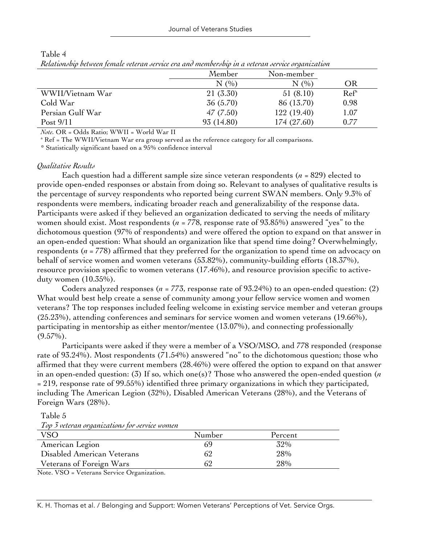|                  | Member     | Non-member  |                  |
|------------------|------------|-------------|------------------|
|                  | N(%)       | N(%)        | OR               |
| WWII/Vietnam War | 21 (3.30)  | 51(8.10)    | Ref <sup>a</sup> |
| Cold War         | 36 (5.70)  | 86 (13.70)  | 0.98             |
| Persian Gulf War | 47(7.50)   | 122(19.40)  | 1.07             |
| Post $9/11$      | 93 (14.80) | 174 (27.60) | 0.77             |

Table 4 *Relationship between female veteran service era and membership in a veteran service organization*

*Note.* OR = Odds Ratio; WWII = World War II

<sup>a</sup> Ref = The WWII/Vietnam War era group served as the reference category for all comparisons.

\* Statistically significant based on a 95% confidence interval

# *Qualitative Results*

Each question had a different sample size since veteran respondents ( $n = 829$ ) elected to provide open-ended responses or abstain from doing so. Relevant to analyses of qualitative results is the percentage of survey respondents who reported being current SWAN members. Only 9.3% of respondents were members, indicating broader reach and generalizability of the response data. Participants were asked if they believed an organization dedicated to serving the needs of military women should exist. Most respondents (*n* = 778, response rate of 93.85%) answered "yes" to the dichotomous question (97% of respondents) and were offered the option to expand on that answer in an open-ended question: What should an organization like that spend time doing? Overwhelmingly, respondents (*n =* 778) affirmed that they preferred for the organization to spend time on advocacy on behalf of service women and women veterans (53.82%), community-building efforts (18.37%), resource provision specific to women veterans (17.46%), and resource provision specific to activeduty women (10.35%).

Coders analyzed responses ( $n = 773$ , response rate of 93.24%) to an open-ended question: (2) What would best help create a sense of community among your fellow service women and women veterans? The top responses included feeling welcome in existing service member and veteran groups (25.23%), attending conferences and seminars for service women and women veterans (19.66%), participating in mentorship as either mentor/mentee (13.07%), and connecting professionally  $(9.57\%)$ .

Participants were asked if they were a member of a VSO/MSO, and 778 responded (response rate of 93.24%). Most respondents (71.54%) answered "no" to the dichotomous question; those who affirmed that they were current members (28.46%) were offered the option to expand on that answer in an open-ended question: (3) If so, which one(s)? Those who answered the open-ended question (*n* = 219, response rate of 99.55%) identified three primary organizations in which they participated, including The American Legion (32%), Disabled American Veterans (28%), and the Veterans of Foreign Wars (28%).

Table 5 *Top 3 veteran organizations for service women*

|                            | Number | Percent |  |
|----------------------------|--------|---------|--|
| American Legion            | 69     | 32%     |  |
| Disabled American Veterans | 62     | 28%     |  |
| Veterans of Foreign Wars   |        | 28%     |  |

Note. VSO = Veterans Service Organization.

K. H. Thomas et al. / Belonging and Support: Women Veterans' Perceptions of Vet. Service Orgs.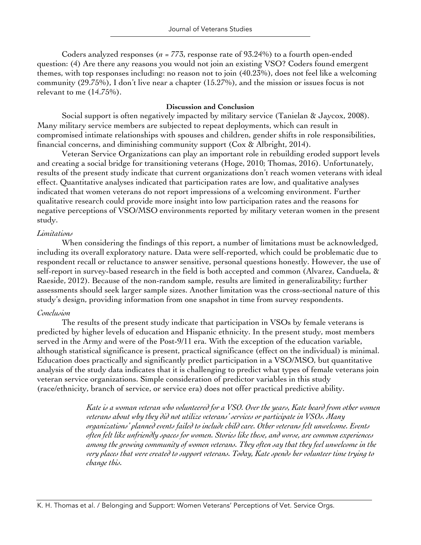Coders analyzed responses (*n* = 773, response rate of 93.24%) to a fourth open-ended question: (4) Are there any reasons you would not join an existing VSO? Coders found emergent themes, with top responses including: no reason not to join (40.23%), does not feel like a welcoming community (29.75%), I don't live near a chapter (15.27%), and the mission or issues focus is not relevant to me (14.75%).

# **Discussion and Conclusion**

Social support is often negatively impacted by military service (Tanielan & Jaycox, 2008). Many military service members are subjected to repeat deployments, which can result in compromised intimate relationships with spouses and children, gender shifts in role responsibilities, financial concerns, and diminishing community support (Cox & Albright, 2014).

Veteran Service Organizations can play an important role in rebuilding eroded support levels and creating a social bridge for transitioning veterans (Hoge, 2010; Thomas, 2016). Unfortunately, results of the present study indicate that current organizations don't reach women veterans with ideal effect. Quantitative analyses indicated that participation rates are low, and qualitative analyses indicated that women veterans do not report impressions of a welcoming environment. Further qualitative research could provide more insight into low participation rates and the reasons for negative perceptions of VSO/MSO environments reported by military veteran women in the present study.

# *Limitations*

When considering the findings of this report, a number of limitations must be acknowledged, including its overall exploratory nature. Data were self-reported, which could be problematic due to respondent recall or reluctance to answer sensitive, personal questions honestly. However, the use of self-report in survey-based research in the field is both accepted and common (Alvarez, Canduela, & Raeside, 2012). Because of the non-random sample, results are limited in generalizability; further assessments should seek larger sample sizes. Another limitation was the cross-sectional nature of this study's design, providing information from one snapshot in time from survey respondents.

# *Conclusion*

The results of the present study indicate that participation in VSOs by female veterans is predicted by higher levels of education and Hispanic ethnicity. In the present study, most members served in the Army and were of the Post-9/11 era. With the exception of the education variable, although statistical significance is present, practical significance (effect on the individual) is minimal. Education does practically and significantly predict participation in a VSO/MSO, but quantitative analysis of the study data indicates that it is challenging to predict what types of female veterans join veteran service organizations. Simple consideration of predictor variables in this study (race/ethnicity, branch of service, or service era) does not offer practical predictive ability.

> *Kate is a woman veteran who volunteered for a VSO. Over the years, Kate heard from other women veterans about why they did not utilize veterans' services or participate in VSOs. Many organizations' planned events failed to include child care. Other veterans felt unwelcome. Events often felt like unfriendly spaces for women. Stories like these, and worse, are common experiences among the growing community of women veterans. They often say that they feel unwelcome in the very places that were created to support veterans. Today, Kate spends her volunteer time trying to change this.*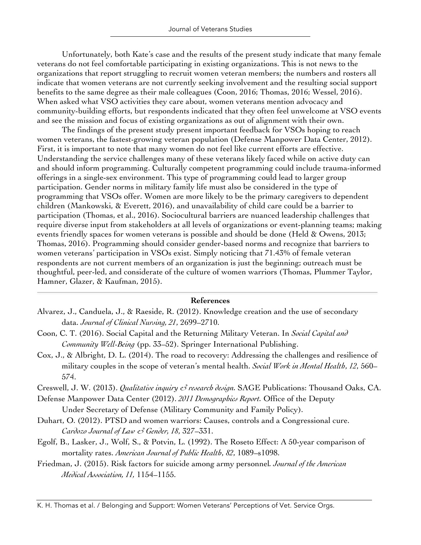Unfortunately, both Kate's case and the results of the present study indicate that many female veterans do not feel comfortable participating in existing organizations. This is not news to the organizations that report struggling to recruit women veteran members; the numbers and rosters all indicate that women veterans are not currently seeking involvement and the resulting social support benefits to the same degree as their male colleagues (Coon, 2016; Thomas, 2016; Wessel, 2016). When asked what VSO activities they care about, women veterans mention advocacy and community-building efforts, but respondents indicated that they often feel unwelcome at VSO events and see the mission and focus of existing organizations as out of alignment with their own.

The findings of the present study present important feedback for VSOs hoping to reach women veterans, the fastest-growing veteran population (Defense Manpower Data Center, 2012). First, it is important to note that many women do not feel like current efforts are effective. Understanding the service challenges many of these veterans likely faced while on active duty can and should inform programming. Culturally competent programming could include trauma-informed offerings in a single-sex environment. This type of programming could lead to larger group participation. Gender norms in military family life must also be considered in the type of programming that VSOs offer. Women are more likely to be the primary caregivers to dependent children (Mankowski, & Everett, 2016), and unavailability of child care could be a barrier to participation (Thomas, et al., 2016). Sociocultural barriers are nuanced leadership challenges that require diverse input from stakeholders at all levels of organizations or event-planning teams; making events friendly spaces for women veterans is possible and should be done (Held & Owens, 2013; Thomas, 2016). Programming should consider gender-based norms and recognize that barriers to women veterans' participation in VSOs exist. Simply noticing that 71.43% of female veteran respondents are not current members of an organization is just the beginning; outreach must be thoughtful, peer-led, and considerate of the culture of women warriors (Thomas, Plummer Taylor, Hamner, Glazer, & Kaufman, 2015).

# **References**

- Alvarez, J., Canduela, J., & Raeside, R. (2012). Knowledge creation and the use of secondary data. *Journal of Clinical Nursing, 21*, 2699–2710.
- Coon, C. T. (2016). Social Capital and the Returning Military Veteran. In *Social Capital and Community Well-Being* (pp. 33–52). Springer International Publishing.
- Cox, J., & Albright, D. L. (2014). The road to recovery: Addressing the challenges and resilience of military couples in the scope of veteran's mental health. *Social Work in Mental Health*, *12*, 560– 574.
- Creswell, J. W. (2013). *Qualitative inquiry & research design.* SAGE Publications: Thousand Oaks, CA.

Defense Manpower Data Center (2012). *2011 Demographics Report.* Office of the Deputy Under Secretary of Defense (Military Community and Family Policy).

- Duhart, O. (2012). PTSD and women warriors: Causes, controls and a Congressional cure. *Cardozo Journal of Law & Gender, 18*, 327–331.
- Egolf, B., Lasker, J., Wolf, S., & Potvin, L. (1992). The Roseto Effect: A 50-year comparison of mortality rates. *American Journal of Public Health*, *82*, 1089–s1098.
- Friedman, J. (2015). Risk factors for suicide among army personnel*. Journal of the American Medical Association, 11,* 1154–1155.

K. H. Thomas et al. / Belonging and Support: Women Veterans' Perceptions of Vet. Service Orgs.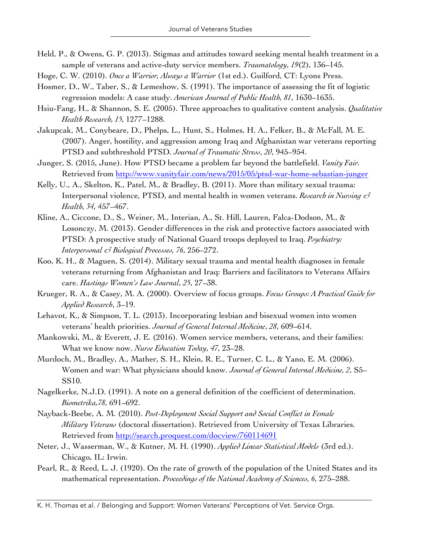- Held, P., & Owens, G. P. (2013). Stigmas and attitudes toward seeking mental health treatment in a sample of veterans and active-duty service members. *Traumatology*, *19*(2), 136–145.
- Hoge, C. W. (2010). *Once a Warrior, Always a Warrior* (1st ed.). Guilford, CT: Lyons Press.
- Hosmer, D., W., Taber, S., & Lemeshow, S. (1991). The importance of assessing the fit of logistic regression models: A case study. *American Journal of Public Health, 81*, 1630–1635.
- Hsiu-Fang, H., & Shannon, S. E. (2005). Three approaches to qualitative content analysis. *Qualitative Health Research, 15,* 1277–1288.
- Jakupcak, M., Conybeare, D., Phelps, L., Hunt, S., Holmes, H. A., Felker, B., & McFall, M. E. (2007). Anger, hostility, and aggression among Iraq and Afghanistan war veterans reporting PTSD and subthreshold PTSD. *Journal of Traumatic Stress*, *20*, 945–954.
- Junger, S. (2015, June). How PTSD became a problem far beyond the battlefield. *Vanity Fair.* Retrieved from http://www.vanityfair.com/news/2015/05/ptsd-war-home-sebastian-junger
- Kelly, U., A., Skelton, K., Patel, M., & Bradley, B. (2011). More than military sexual trauma: Interpersonal violence, PTSD, and mental health in women veterans. *Research in Nursing & Health, 34*, 457–467.
- Kline, A., Ciccone, D., S., Weiner, M., Interian, A., St. Hill, Lauren, Falca-Dodson, M., & Losonczy, M. (2013). Gender differences in the risk and protective factors associated with PTSD: A prospective study of National Guard troops deployed to Iraq. *Psychiatry: Interpersonal & Biological Processes, 76*, 256–272.
- Koo, K. H., & Maguen, S. (2014). Military sexual trauma and mental health diagnoses in female veterans returning from Afghanistan and Iraq: Barriers and facilitators to Veterans Affairs care. *Hastings Women's Law Journal*, *25*, 27–38.
- Krueger, R. A., & Casey, M. A. (2000). Overview of focus groups. *Focus Groups: A Practical Guide for Applied Research*, 3–19.
- Lehavot, K., & Simpson, T. L. (2013). Incorporating lesbian and bisexual women into women veterans' health priorities. *Journal of General Internal Medicine*, *28*, 609–614.
- Mankowski, M., & Everett, J. E. (2016). Women service members, veterans, and their families: What we know now. *Nurse Education Today*, *47*, 23–28.
- Murdoch, M., Bradley, A., Mather, S. H., Klein, R. E., Turner, C. L., & Yano, E. M. (2006). Women and war: What physicians should know. *Journal of General Internal Medicine, 2*, S5– SS10.
- Nagelkerke, N.J.D. (1991). A note on a general definition of the coefficient of determination. *Biometrika,78*, 691–692.
- Nayback-Beebe, A. M. (2010). *Post-Deployment Social Support and Social Conflict in Female Military Veterans* (doctoral dissertation). Retrieved from University of Texas Libraries. Retrieved from http://search.proquest.com/docview/760114691
- Neter, J., Wasserman, W., & Kutner, M. H. (1990). *Applied Linear Statistical Models* (3rd ed.). Chicago, IL: Irwin.
- Pearl, R., & Reed, L. J. (1920). On the rate of growth of the population of the United States and its mathematical representation. *Proceedings of the National Academy of Sciences, 6*, 275–288.

K. H. Thomas et al. / Belonging and Support: Women Veterans' Perceptions of Vet. Service Orgs.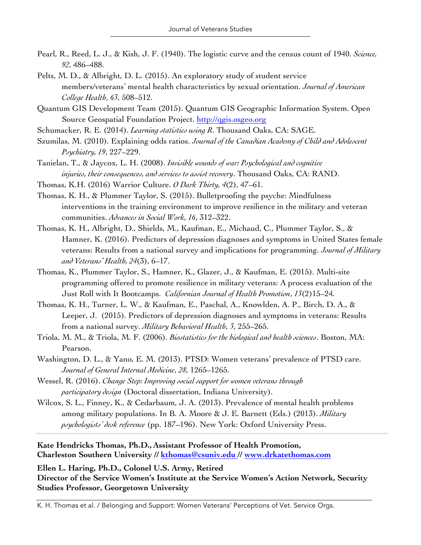- Pearl, R., Reed, L. J., & Kish, J. F. (1940). The logistic curve and the census count of 1940. *Science, 92*, 486–488.
- Pelts, M. D., & Albright, D. L. (2015). An exploratory study of student service members/veterans' mental health characteristics by sexual orientation. *Journal of American College Health*, *63*, 508–512.
- Quantum GIS Development Team (2015). Quantum GIS Geographic Information System. Open Source Geospatial Foundation Project. http://qgis.osgeo.org
- Schumacker, R. E. (2014). *Learning statistics using R*. Thousand Oaks, CA: SAGE.
- Szumilas, M. (2010). Explaining odds ratios. *Journal of the Canadian Academy of Child and Adolescent Psychiatry, 19*, 227–229.
- Tanielan, T., & Jaycox, L. H. (2008). *Invisible wounds of war: Psychological and cognitive injuries, their consequences, and services to assist recovery*. Thousand Oaks, CA: RAND.
- Thomas, K.H. (2016) Warrior Culture. *O Dark Thirty, 4*(2), 47–61.
- Thomas, K. H., & Plummer Taylor, S. (2015). Bulletproofing the psyche: Mindfulness interventions in the training environment to improve resilience in the military and veteran communities. *Advances in Social Work, 16*, 312–322.
- Thomas, K. H., Albright, D., Shields, M., Kaufman, E., Michaud, C., Plummer Taylor, S., & Hamner, K. (2016). Predictors of depression diagnoses and symptoms in United States female veterans: Results from a national survey and implications for programming. *Journal of Military and Veterans' Health, 24*(3), 6–17.
- Thomas, K., Plummer Taylor, S., Hamner, K., Glazer, J., & Kaufman, E. (2015). Multi-site programming offered to promote resilience in military veterans: A process evaluation of the Just Roll with It Bootcamps. *Californian Journal of Health Promotion*, *13*(2)15–24*.*
- Thomas, K. H., Turner, L. W., & Kaufman, E., Paschal, A., Knowlden, A. P., Birch, D. A., & Leeper, J. (2015). Predictors of depression diagnoses and symptoms in veterans: Results from a national survey. *Military Behavioral Health*, *3*, 255–265.
- Triola, M. M., & Triola, M. F. (2006). *Biostatistics for the biological and health sciences*. Boston, MA: Pearson.
- Washington, D. L., & Yano, E. M. (2013). PTSD: Women veterans' prevalence of PTSD care. *Journal of General Internal Medicine*, *28*, 1265–1265.
- Wessel, R. (2016). *Change Step: Improving social support for women veterans through participatory design* (Doctoral dissertation, Indiana University).
- Wilcox, S. L., Finney, K., & Cedarbaum, J. A. (2013). Prevalence of mental health problems among military populations. In B. A. Moore & J. E. Barnett (Eds.) (2013). *Military psychologists' desk reference* (pp. 187–196). New York: Oxford University Press.

**Kate Hendricks Thomas, Ph.D., Assistant Professor of Health Promotion, Charleston Southern University // kthomas@csuniv.edu // www.drkatethomas.com**

**Ellen L. Haring, Ph.D., Colonel U.S. Army, Retired Director of the Service Women's Institute at the Service Women's Action Network, Security Studies Professor, Georgetown University**

K. H. Thomas et al. / Belonging and Support: Women Veterans' Perceptions of Vet. Service Orgs.